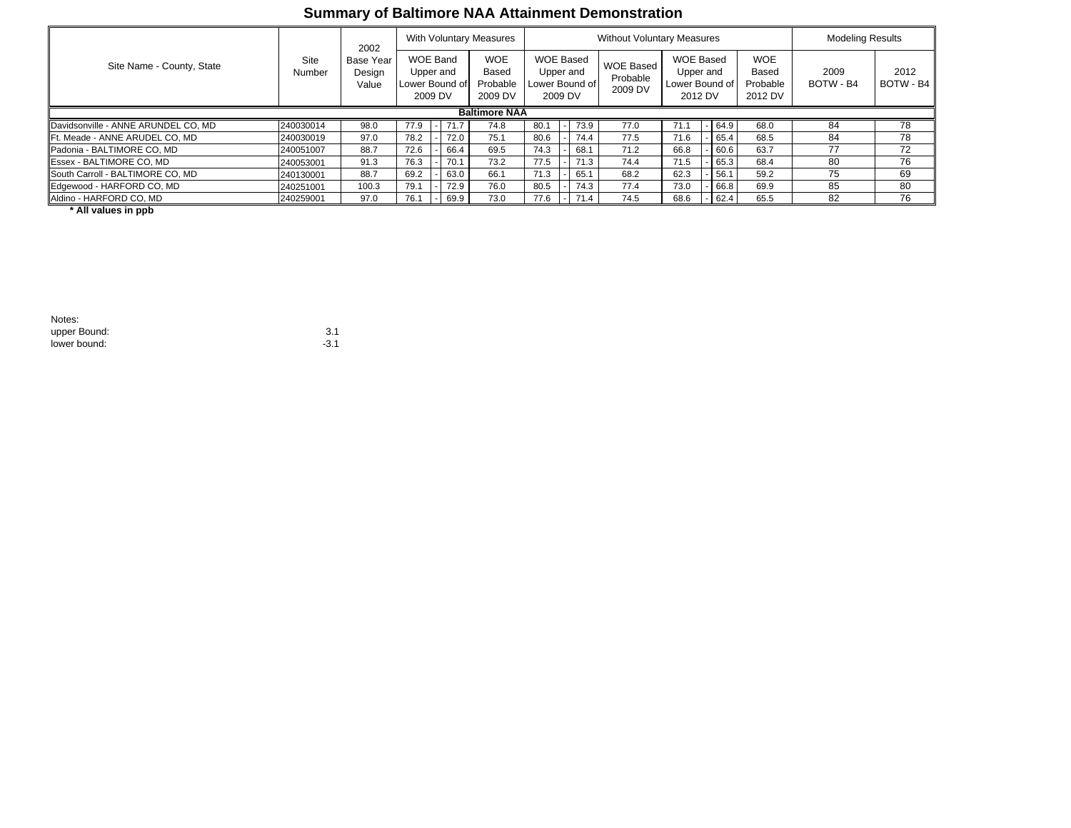## **Summary of Baltimore NAA Attainment Demonstration**

| Site Name - County, State           | Site<br>Number | 2002<br><b>Base Year</b><br>Design<br>Value | With Voluntary Measures                                   |  |      |                                            | <b>Without Voluntary Measures</b>                   |  |      |                                         |                |                      | <b>Modeling Results</b> |                                            |                   |                   |
|-------------------------------------|----------------|---------------------------------------------|-----------------------------------------------------------|--|------|--------------------------------------------|-----------------------------------------------------|--|------|-----------------------------------------|----------------|----------------------|-------------------------|--------------------------------------------|-------------------|-------------------|
|                                     |                |                                             | <b>WOE Band</b><br>Upper and<br>Lower Bound of<br>2009 DV |  |      | <b>WOE</b><br>Based<br>Probable<br>2009 DV | WOE Based<br>Upper and<br>Lower Bound of<br>2009 DV |  |      | <b>WOE Based</b><br>Probable<br>2009 DV | Lower Bound of | Upper and<br>2012 DV | <b>WOE Based</b>        | <b>WOE</b><br>Based<br>Probable<br>2012 DV | 2009<br>BOTW - B4 | 2012<br>BOTW - B4 |
| <b>Baltimore NAA</b>                |                |                                             |                                                           |  |      |                                            |                                                     |  |      |                                         |                |                      |                         |                                            |                   |                   |
| Davidsonville - ANNE ARUNDEL CO, MD | 240030014      | 98.0                                        | 77.9                                                      |  |      | 74.8                                       | 80.1                                                |  | 73.9 | 77.0                                    | 71.1           |                      | $-64.9$                 | 68.0                                       | 84                | 78                |
| IFt. Meade - ANNE ARUDEL CO. MD     | 240030019      | 97.0                                        | 78.2                                                      |  | 72.0 | 75.1                                       | 80.6                                                |  | 74.4 | 77.5                                    | 71.6           |                      | $-165.4$                | 68.5                                       | 84                | 78                |
| Padonia - BALTIMORE CO. MD          | 240051007      | 88.7                                        | 72.6                                                      |  | 66.4 | 69.5                                       | 74.3                                                |  | 68.1 | 71.2                                    | 66.8           |                      | 60.6                    | 63.7                                       | 77                | 72                |
| <b>Essex - BALTIMORE CO. MD</b>     | 240053001      | 91.3                                        | 76.3                                                      |  | 70.1 | 73.2                                       | 77.5                                                |  | 71.3 | 74.4                                    | 71.5           |                      | $-65.3$                 | 68.4                                       | 80                | 76                |
| South Carroll - BALTIMORE CO, MD    | 240130001      | 88.7                                        | 69.2                                                      |  | 63.0 | 66.1                                       | 71.3                                                |  | 65.1 | 68.2                                    | 62.3           |                      | 56.1                    | 59.2                                       | 75                | 69                |
| Edgewood - HARFORD CO, MD           | 240251001      | 100.3                                       | 79.1                                                      |  | 72.9 | 76.0                                       | 80.5                                                |  | 74.3 | 77.4                                    | 73.0           |                      | $-66.8$                 | 69.9                                       | 85                | 80                |
| Aldino - HARFORD CO, MD             | 240259001      | 97.0                                        | 76.1                                                      |  | 69.9 | 73.0                                       | 77.6                                                |  | 71.4 | 74.5                                    | 68.6           |                      | $-162.4$                | 65.5                                       | 82                | 76                |

 **\* All values in ppb**

| Notes:       |        |
|--------------|--------|
| upper Bound: | 3.1    |
| lower bound: | $-3.1$ |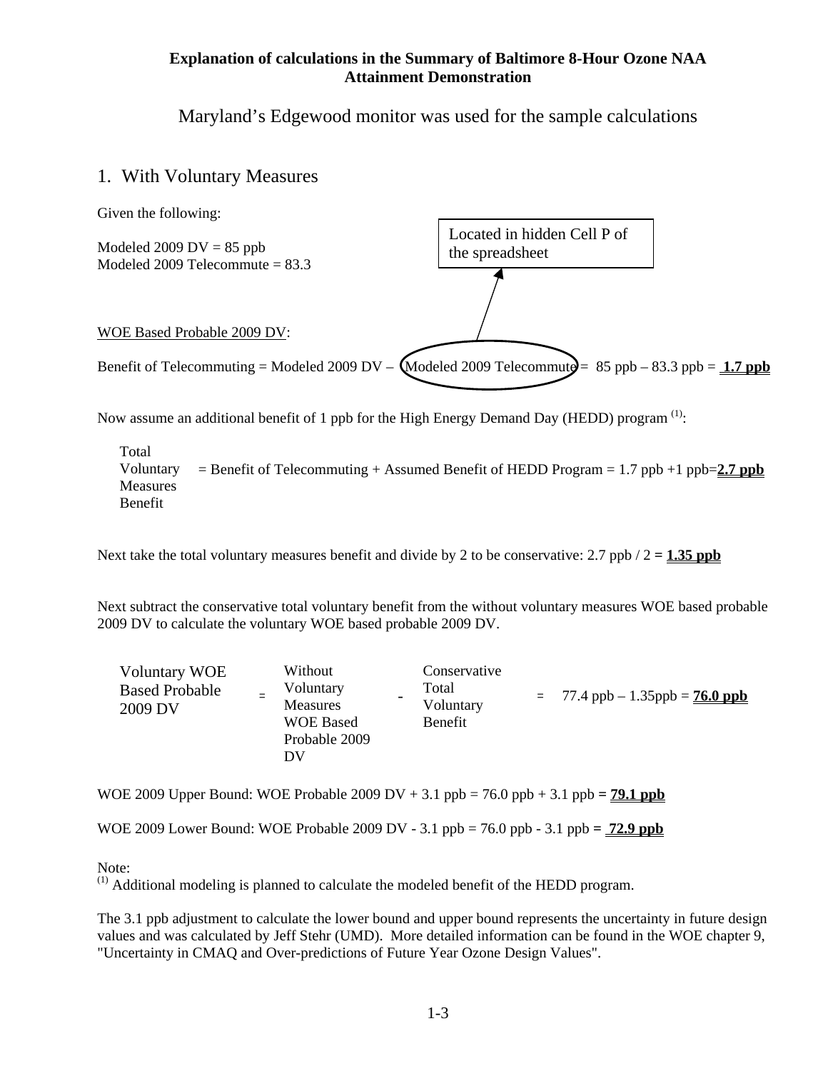#### **Explanation of calculations in the Summary of Baltimore 8-Hour Ozone NAA Attainment Demonstration**

Maryland's Edgewood monitor was used for the sample calculations

## 1. With Voluntary Measures



Now assume an additional benefit of 1 ppb for the High Energy Demand Day (HEDD) program  $<sup>(1)</sup>$ :</sup>

 $=$  Benefit of Telecommuting  $+$  Assumed Benefit of HEDD Program  $= 1.7$  ppb  $+1$  ppb=2.7 ppb Total Voluntary Measures Benefit

Next take the total voluntary measures benefit and divide by 2 to be conservative:  $2.7$  ppb  $/2 = 1.35$  ppb

Next subtract the conservative total voluntary benefit from the without voluntary measures WOE based probable 2009 DV to calculate the voluntary WOE based probable 2009 DV.

| <b>Voluntary WOE</b><br><b>Based Probable</b><br>2009 DV | Without<br>Voluntary<br><b>Measures</b><br><b>WOE Based</b><br>Probable 2009<br>DV | Conservative<br>Total<br>Voluntary<br>Benefit |  | $= 77.4$ ppb $- 1.35$ ppb $= 76.0$ ppb |
|----------------------------------------------------------|------------------------------------------------------------------------------------|-----------------------------------------------|--|----------------------------------------|
|----------------------------------------------------------|------------------------------------------------------------------------------------|-----------------------------------------------|--|----------------------------------------|

WOE 2009 Upper Bound: WOE Probable 2009 DV  $+ 3.1$  ppb = 76.0 ppb  $+ 3.1$  ppb =  $79.1$  ppb

WOE 2009 Lower Bound: WOE Probable 2009 DV - 3.1 ppb = 76.0 ppb - 3.1 ppb **= 72.9 ppb**

Note:

 $<sup>(1)</sup>$  Additional modeling is planned to calculate the modeled benefit of the HEDD program.</sup>

The 3.1 ppb adjustment to calculate the lower bound and upper bound represents the uncertainty in future design values and was calculated by Jeff Stehr (UMD). More detailed information can be found in the WOE chapter 9, "Uncertainty in CMAQ and Over-predictions of Future Year Ozone Design Values".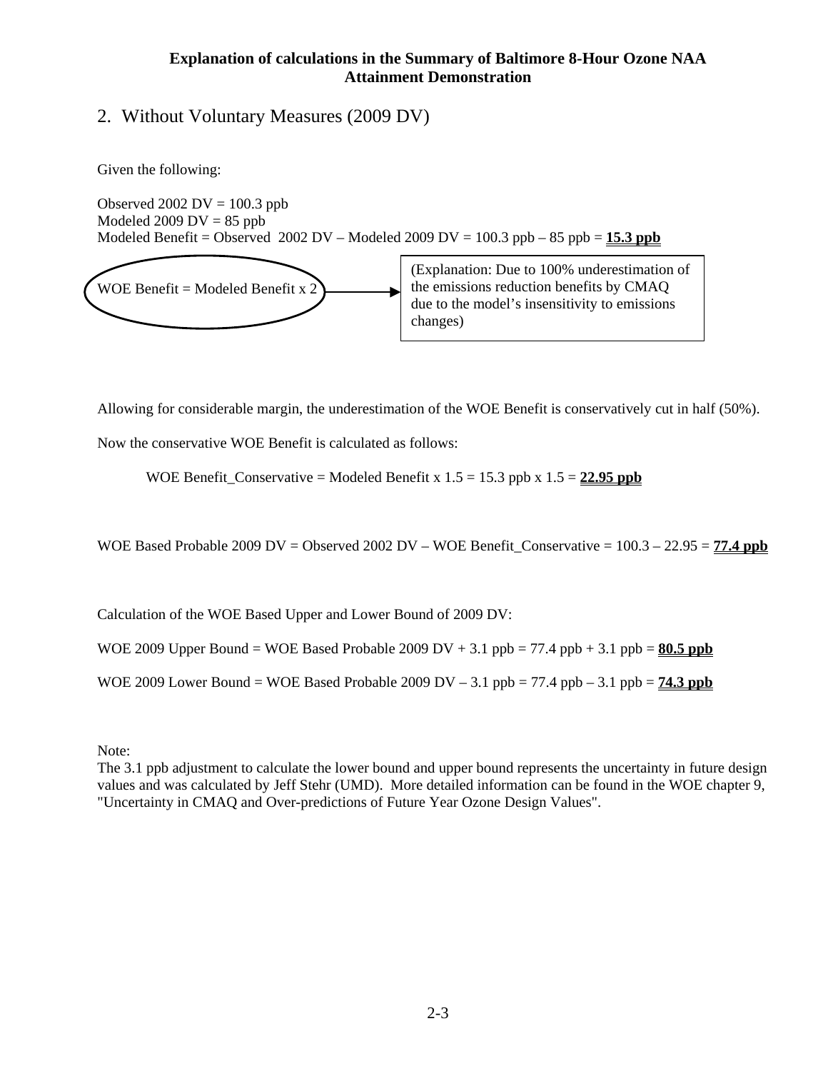#### **Explanation of calculations in the Summary of Baltimore 8-Hour Ozone NAA Attainment Demonstration**

## 2. Without Voluntary Measures (2009 DV)

Given the following:

Observed  $2002$  DV = 100.3 ppb Modeled 2009  $DV = 85$  ppb Modeled Benefit = Observed 2002 DV – Modeled 2009 DV =  $100.3$  ppb –  $85$  ppb =  $15.3$  ppb



(Explanation: Due to 100% underestimation of the emissions reduction benefits by CMAQ due to the model's insensitivity to emissions changes)

Allowing for considerable margin, the underestimation of the WOE Benefit is conservatively cut in half (50%).

Now the conservative WOE Benefit is calculated as follows:

WOE Benefit\_Conservative = Modeled Benefit x  $1.5 = 15.3$  ppb x  $1.5 = 22.95$  ppb

WOE Based Probable 2009 DV = Observed 2002 DV – WOE Benefit Conservative =  $100.3 - 22.95 = 77.4$  ppb

Calculation of the WOE Based Upper and Lower Bound of 2009 DV:

WOE 2009 Upper Bound = WOE Based Probable 2009 DV  $+$  3.1 ppb = 77.4 ppb  $+$  3.1 ppb = **80.5 ppb** 

WOE 2009 Lower Bound = WOE Based Probable 2009 DV  $- 3.1$  ppb = 77.4 ppb  $- 3.1$  ppb =  $74.3$  ppb

Note:

The 3.1 ppb adjustment to calculate the lower bound and upper bound represents the uncertainty in future design values and was calculated by Jeff Stehr (UMD). More detailed information can be found in the WOE chapter 9, "Uncertainty in CMAQ and Over-predictions of Future Year Ozone Design Values".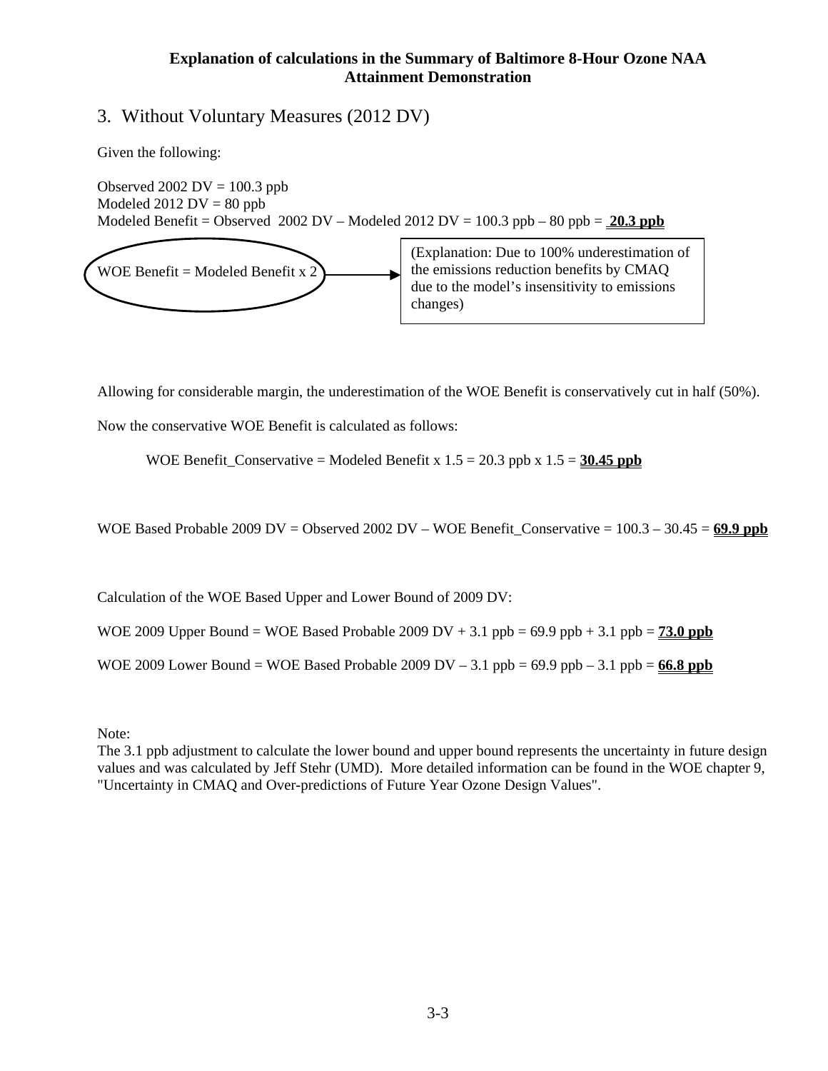#### **Explanation of calculations in the Summary of Baltimore 8-Hour Ozone NAA Attainment Demonstration**

## 3. Without Voluntary Measures (2012 DV)

Given the following:

Observed 2002  $DV = 100.3$  ppb Modeled  $2012$  DV = 80 ppb Modeled Benefit = Observed 2002 DV – Modeled 2012 DV =  $100.3$  ppb –  $80$  ppb =  $20.3$  ppb (Explanation: Due to 100% underestimation of



Allowing for considerable margin, the underestimation of the WOE Benefit is conservatively cut in half (50%).

Now the conservative WOE Benefit is calculated as follows:

WOE Benefit\_Conservative = Modeled Benefit x  $1.5 = 20.3$  ppb x  $1.5 = 30.45$  ppb

WOE Based Probable 2009 DV = Observed 2002 DV – WOE Benefit\_Conservative = 100.3 – 30.45 = **69.9 ppb**

Calculation of the WOE Based Upper and Lower Bound of 2009 DV:

WOE 2009 Upper Bound = WOE Based Probable 2009 DV + 3.1 ppb =  $69.9$  ppb + 3.1 ppb =  $73.0$  ppb

WOE 2009 Lower Bound = WOE Based Probable 2009 DV  $-3.1$  ppb =  $69.9$  ppb  $-3.1$  ppb =  $66.8$  ppb

Note:

The 3.1 ppb adjustment to calculate the lower bound and upper bound represents the uncertainty in future design values and was calculated by Jeff Stehr (UMD). More detailed information can be found in the WOE chapter 9, "Uncertainty in CMAQ and Over-predictions of Future Year Ozone Design Values".